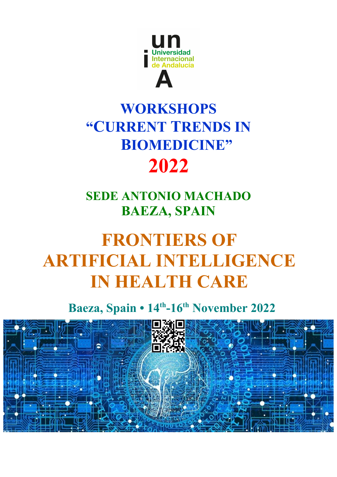

## **WORKSHOPS "CURRENT TRENDS IN BIOMEDICINE" 2022**

### **SEDE ANTONIO MACHADO BAEZA, SPAIN**

# **FRONTIERS OF ARTIFICIAL INTELLIGENCE IN HEALTH CARE**

**Baeza, Spain • 14th-16th November 2022**

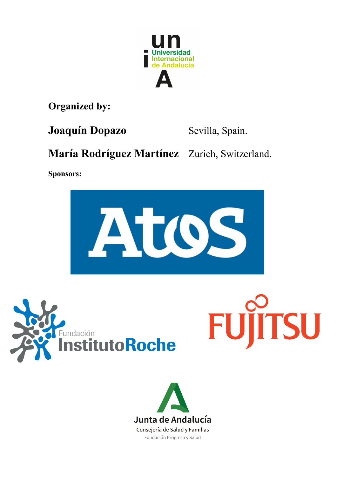

**Organized by:** 

**Joaquín Dopazo** Sevilla, Spain.

**TSU** 

**María Rodríguez Martínez** Zurich, Switzerland.

**Sponsors:**





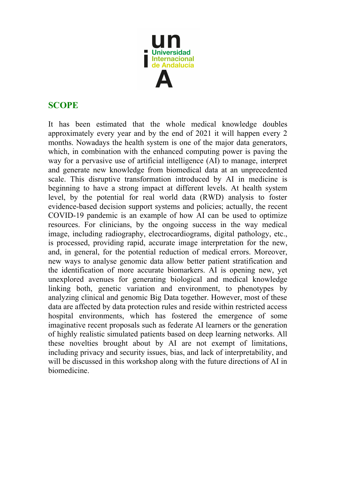

#### **SCOPE**

It has been estimated that the whole medical knowledge doubles approximately every year and by the end of 2021 it will happen every 2 months. Nowadays the health system is one of the major data generators, which, in combination with the enhanced computing power is paving the way for a pervasive use of artificial intelligence (AI) to manage, interpret and generate new knowledge from biomedical data at an unprecedented scale. This disruptive transformation introduced by AI in medicine is beginning to have a strong impact at different levels. At health system level, by the potential for real world data (RWD) analysis to foster evidence-based decision support systems and policies; actually, the recent COVID-19 pandemic is an example of how AI can be used to optimize resources. For clinicians, by the ongoing success in the way medical image, including radiography, electrocardiograms, digital pathology, etc., is processed, providing rapid, accurate image interpretation for the new, and, in general, for the potential reduction of medical errors. Moreover, new ways to analyse genomic data allow better patient stratification and the identification of more accurate biomarkers. AI is opening new, yet unexplored avenues for generating biological and medical knowledge linking both, genetic variation and environment, to phenotypes by analyzing clinical and genomic Big Data together. However, most of these data are affected by data protection rules and reside within restricted access hospital environments, which has fostered the emergence of some imaginative recent proposals such as federate AI learners or the generation of highly realistic simulated patients based on deep learning networks. All these novelties brought about by AI are not exempt of limitations, including privacy and security issues, bias, and lack of interpretability, and will be discussed in this workshop along with the future directions of AI in biomedicine.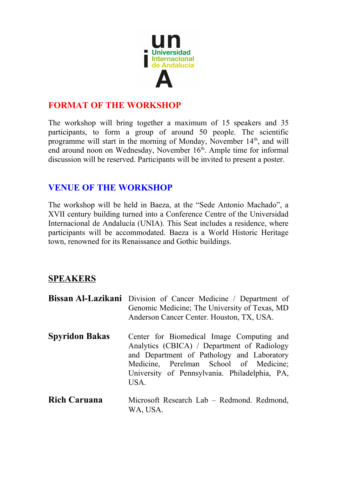

#### **FORMAT OF THE WORKSHOP**

The workshop will bring together a maximum of 15 speakers and 35 participants, to form a group of around 50 people. The scientific programme will start in the morning of Monday, November 14<sup>th</sup>, and will end around noon on Wednesday, November  $16<sup>th</sup>$ . Ample time for informal discussion will be reserved. Participants will be invited to present a poster.

#### **VENUE OF THE WORKSHOP**

The workshop will be held in Baeza, at the "Sede Antonio Machado", a XVII century building turned into a Conference Centre of the Universidad Internacional de Andalucía (UNIA). This Seat includes a residence, where participants will be accommodated. Baeza is a World Historic Heritage town, renowned for its Renaissance and Gothic buildings.

#### **SPEAKERS**

|                       | <b>Bissan Al-Lazikani</b> Division of Cancer Medicine / Department of<br>Genomic Medicine; The University of Texas, MD<br>Anderson Cancer Center. Houston, TX, USA.                                                                       |
|-----------------------|-------------------------------------------------------------------------------------------------------------------------------------------------------------------------------------------------------------------------------------------|
| <b>Spyridon Bakas</b> | Center for Biomedical Image Computing and<br>Analytics (CBICA) / Department of Radiology<br>and Department of Pathology and Laboratory<br>Medicine, Perelman School of Medicine;<br>University of Pennsylvania. Philadelphia, PA,<br>USA. |
| <b>Rich Caruana</b>   | Microsoft Research Lab – Redmond. Redmond,<br>WA, USA.                                                                                                                                                                                    |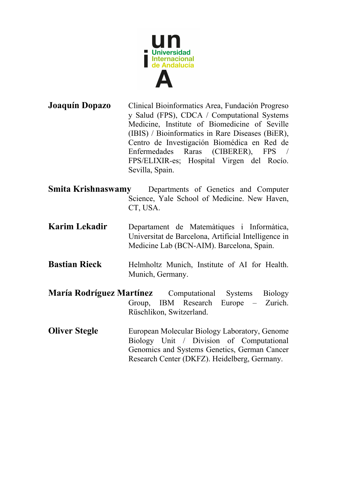

**Joaquín Dopazo** Clinical Bioinformatics Area, Fundación Progreso y Salud (FPS), CDCA / Computational Systems Medicine, Institute of Biomedicine of Seville (IBIS) / Bioinformatics in Rare Diseases (BiER), Centro de Investigación Biomédica en Red de Enfermedades Raras (CIBERER), FPS / FPS/ELIXIR-es; Hospital Virgen del Rocío. Sevilla, Spain.

- **Smita Krishnaswamy** Departments of Genetics and Computer Science, Yale School of Medicine. New Haven, CT, USA.
- **Karim Lekadir** Departament de Matemàtiques i Informàtica, Universitat de Barcelona, Artificial Intelligence in Medicine Lab (BCN-AIM). Barcelona, Spain.
- **Bastian Rieck** Helmholtz Munich, Institute of AI for Health. Munich, Germany.
- **María Rodríguez Martínez** Computational Systems Biology Group, IBM Research Europe – Zurich. Rüschlikon, Switzerland.
- **Oliver Stegle** European Molecular Biology Laboratory, Genome Biology Unit / Division of Computational Genomics and Systems Genetics, German Cancer Research Center (DKFZ). Heidelberg, Germany.